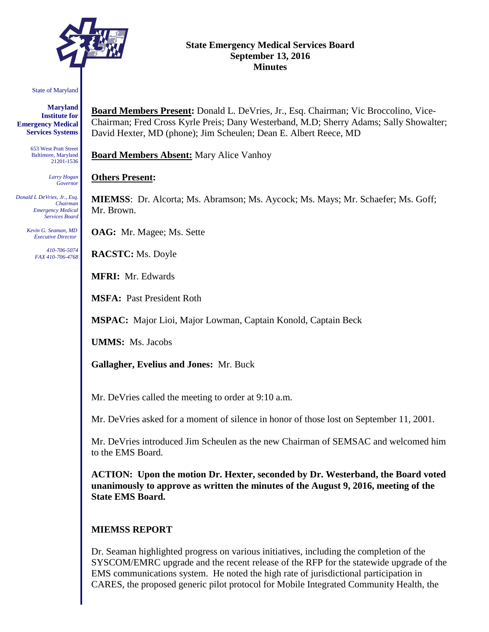

#### **State Emergency Medical Services Board September 13, 2016 Minutes**

#### State of Maryland

**Maryland Institute for Emergency Medical Services Systems**

> 653 West Pratt Street Baltimore, Maryland 21201-1536

> > *Larry Hogan Governor*

*Donald L DeVries, Jr., Esq. Chairman Emergency Medical Services Board*

> *Kevin G. Seaman, MD Executive Director*

> > *410-706-5074 FAX 410-706-4768*

**Board Members Present:** Donald L. DeVries, Jr., Esq. Chairman; Vic Broccolino, Vice-Chairman; Fred Cross Kyrle Preis; Dany Westerband, M.D; Sherry Adams; Sally Showalter; David Hexter, MD (phone); Jim Scheulen; Dean E. Albert Reece, MD

**Board Members Absent:** Mary Alice Vanhoy

## **Others Present:**

**MIEMSS**: Dr. Alcorta; Ms. Abramson; Ms. Aycock; Ms. Mays; Mr. Schaefer; Ms. Goff; Mr. Brown.

**OAG:** Mr. Magee; Ms. Sette

**RACSTC:** Ms. Doyle

**MFRI:** Mr. Edwards

**MSFA:** Past President Roth

**MSPAC:** Major Lioi, Major Lowman, Captain Konold, Captain Beck

**UMMS:** Ms. Jacobs

**Gallagher, Evelius and Jones:** Mr. Buck

Mr. DeVries called the meeting to order at 9:10 a.m.

Mr. DeVries asked for a moment of silence in honor of those lost on September 11, 2001.

Mr. DeVries introduced Jim Scheulen as the new Chairman of SEMSAC and welcomed him to the EMS Board.

**ACTION: Upon the motion Dr. Hexter, seconded by Dr. Westerband, the Board voted unanimously to approve as written the minutes of the August 9, 2016, meeting of the State EMS Board.**

# **MIEMSS REPORT**

Dr. Seaman highlighted progress on various initiatives, including the completion of the SYSCOM/EMRC upgrade and the recent release of the RFP for the statewide upgrade of the EMS communications system. He noted the high rate of jurisdictional participation in CARES, the proposed generic pilot protocol for Mobile Integrated Community Health, the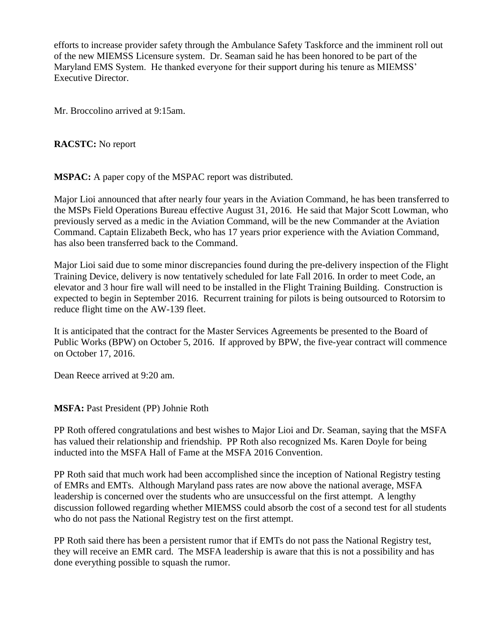efforts to increase provider safety through the Ambulance Safety Taskforce and the imminent roll out of the new MIEMSS Licensure system. Dr. Seaman said he has been honored to be part of the Maryland EMS System. He thanked everyone for their support during his tenure as MIEMSS' Executive Director.

Mr. Broccolino arrived at 9:15am.

**RACSTC:** No report

**MSPAC:** A paper copy of the MSPAC report was distributed.

Major Lioi announced that after nearly four years in the Aviation Command, he has been transferred to the MSPs Field Operations Bureau effective August 31, 2016. He said that Major Scott Lowman, who previously served as a medic in the Aviation Command, will be the new Commander at the Aviation Command. Captain Elizabeth Beck, who has 17 years prior experience with the Aviation Command, has also been transferred back to the Command.

Major Lioi said due to some minor discrepancies found during the pre-delivery inspection of the Flight Training Device, delivery is now tentatively scheduled for late Fall 2016. In order to meet Code, an elevator and 3 hour fire wall will need to be installed in the Flight Training Building. Construction is expected to begin in September 2016. Recurrent training for pilots is being outsourced to Rotorsim to reduce flight time on the AW-139 fleet.

It is anticipated that the contract for the Master Services Agreements be presented to the Board of Public Works (BPW) on October 5, 2016. If approved by BPW, the five-year contract will commence on October 17, 2016.

Dean Reece arrived at 9:20 am.

**MSFA:** Past President (PP) Johnie Roth

PP Roth offered congratulations and best wishes to Major Lioi and Dr. Seaman, saying that the MSFA has valued their relationship and friendship. PP Roth also recognized Ms. Karen Doyle for being inducted into the MSFA Hall of Fame at the MSFA 2016 Convention.

PP Roth said that much work had been accomplished since the inception of National Registry testing of EMRs and EMTs. Although Maryland pass rates are now above the national average, MSFA leadership is concerned over the students who are unsuccessful on the first attempt. A lengthy discussion followed regarding whether MIEMSS could absorb the cost of a second test for all students who do not pass the National Registry test on the first attempt.

PP Roth said there has been a persistent rumor that if EMTs do not pass the National Registry test, they will receive an EMR card. The MSFA leadership is aware that this is not a possibility and has done everything possible to squash the rumor.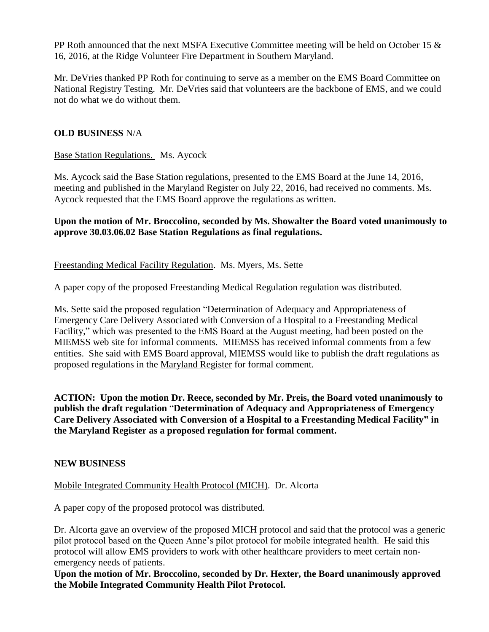PP Roth announced that the next MSFA Executive Committee meeting will be held on October 15  $\&$ 16, 2016, at the Ridge Volunteer Fire Department in Southern Maryland.

Mr. DeVries thanked PP Roth for continuing to serve as a member on the EMS Board Committee on National Registry Testing. Mr. DeVries said that volunteers are the backbone of EMS, and we could not do what we do without them.

## **OLD BUSINESS** N/A

## Base Station Regulations. Ms. Aycock

Ms. Aycock said the Base Station regulations, presented to the EMS Board at the June 14, 2016, meeting and published in the Maryland Register on July 22, 2016, had received no comments. Ms. Aycock requested that the EMS Board approve the regulations as written.

## **Upon the motion of Mr. Broccolino, seconded by Ms. Showalter the Board voted unanimously to approve 30.03.06.02 Base Station Regulations as final regulations.**

## Freestanding Medical Facility Regulation. Ms. Myers, Ms. Sette

A paper copy of the proposed Freestanding Medical Regulation regulation was distributed.

Ms. Sette said the proposed regulation "Determination of Adequacy and Appropriateness of Emergency Care Delivery Associated with Conversion of a Hospital to a Freestanding Medical Facility," which was presented to the EMS Board at the August meeting, had been posted on the MIEMSS web site for informal comments. MIEMSS has received informal comments from a few entities. She said with EMS Board approval, MIEMSS would like to publish the draft regulations as proposed regulations in the Maryland Register for formal comment.

**ACTION: Upon the motion Dr. Reece, seconded by Mr. Preis, the Board voted unanimously to publish the draft regulation** "**Determination of Adequacy and Appropriateness of Emergency Care Delivery Associated with Conversion of a Hospital to a Freestanding Medical Facility" in the Maryland Register as a proposed regulation for formal comment.**

## **NEW BUSINESS**

## Mobile Integrated Community Health Protocol (MICH). Dr. Alcorta

A paper copy of the proposed protocol was distributed.

Dr. Alcorta gave an overview of the proposed MICH protocol and said that the protocol was a generic pilot protocol based on the Queen Anne's pilot protocol for mobile integrated health. He said this protocol will allow EMS providers to work with other healthcare providers to meet certain nonemergency needs of patients.

**Upon the motion of Mr. Broccolino, seconded by Dr. Hexter, the Board unanimously approved the Mobile Integrated Community Health Pilot Protocol.**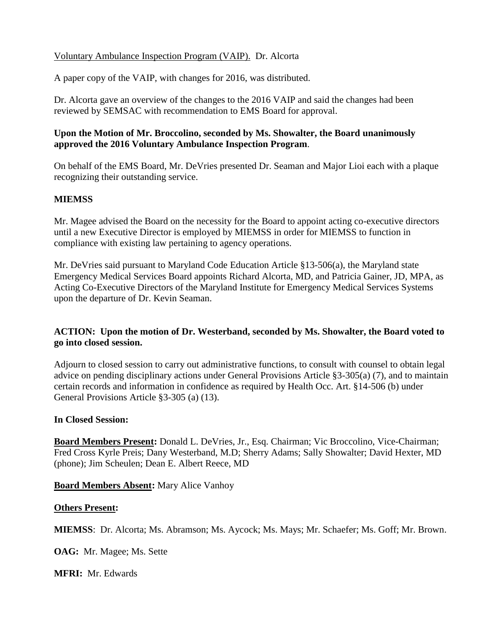## Voluntary Ambulance Inspection Program (VAIP). Dr. Alcorta

A paper copy of the VAIP, with changes for 2016, was distributed.

Dr. Alcorta gave an overview of the changes to the 2016 VAIP and said the changes had been reviewed by SEMSAC with recommendation to EMS Board for approval.

## **Upon the Motion of Mr. Broccolino, seconded by Ms. Showalter, the Board unanimously approved the 2016 Voluntary Ambulance Inspection Program**.

On behalf of the EMS Board, Mr. DeVries presented Dr. Seaman and Major Lioi each with a plaque recognizing their outstanding service.

# **MIEMSS**

Mr. Magee advised the Board on the necessity for the Board to appoint acting co-executive directors until a new Executive Director is employed by MIEMSS in order for MIEMSS to function in compliance with existing law pertaining to agency operations.

Mr. DeVries said pursuant to Maryland Code Education Article §13-506(a), the Maryland state Emergency Medical Services Board appoints Richard Alcorta, MD, and Patricia Gainer, JD, MPA, as Acting Co-Executive Directors of the Maryland Institute for Emergency Medical Services Systems upon the departure of Dr. Kevin Seaman.

# **ACTION: Upon the motion of Dr. Westerband, seconded by Ms. Showalter, the Board voted to go into closed session.**

Adjourn to closed session to carry out administrative functions, to consult with counsel to obtain legal advice on pending disciplinary actions under General Provisions Article §3-305(a) (7), and to maintain certain records and information in confidence as required by Health Occ. Art. §14-506 (b) under General Provisions Article §3-305 (a) (13).

# **In Closed Session:**

**Board Members Present:** Donald L. DeVries, Jr., Esq. Chairman; Vic Broccolino, Vice-Chairman; Fred Cross Kyrle Preis; Dany Westerband, M.D; Sherry Adams; Sally Showalter; David Hexter, MD (phone); Jim Scheulen; Dean E. Albert Reece, MD

**Board Members Absent:** Mary Alice Vanhoy

# **Others Present:**

**MIEMSS**: Dr. Alcorta; Ms. Abramson; Ms. Aycock; Ms. Mays; Mr. Schaefer; Ms. Goff; Mr. Brown.

**OAG:** Mr. Magee; Ms. Sette

**MFRI:** Mr. Edwards